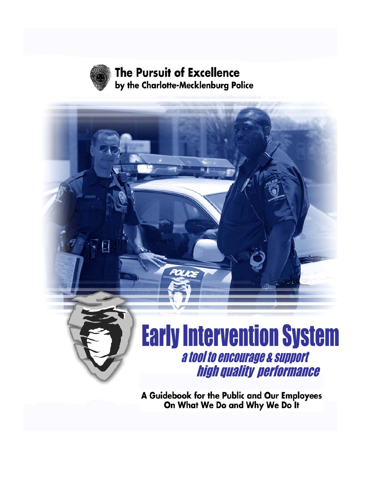# **The Pursuit of Excellence** by the Charlotte-Mecklenburg Police



A Guidebook for the Public and Our Employees<br>On What We Do and Why We Do It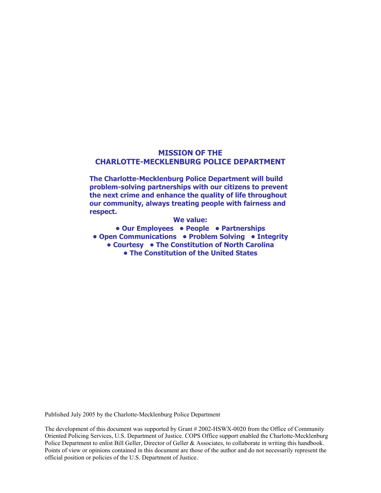#### **MISSION OF THE CHARLOTTE-MECKLENBURG POLICE DEPARTMENT**

**The Charlotte-Mecklenburg Police Department will build problem-solving partnerships with our citizens to prevent the next crime and enhance the quality of life throughout our community, always treating people with fairness and respect.** 

**We value: • Our Employees • People • Partnerships • Open Communications • Problem Solving • Integrity • Courtesy • The Constitution of North Carolina • The Constitution of the United States** 

Published July 2005 by the Charlotte-Mecklenburg Police Department

The development of this document was supported by Grant # 2002-HSWX-0020 from the Office of Community Oriented Policing Services, U.S. Department of Justice. COPS Office support enabled the Charlotte-Mecklenburg Police Department to enlist Bill Geller, Director of Geller & Associates, to collaborate in writing this handbook. Points of view or opinions contained in this document are those of the author and do not necessarily represent the official position or policies of the U.S. Department of Justice.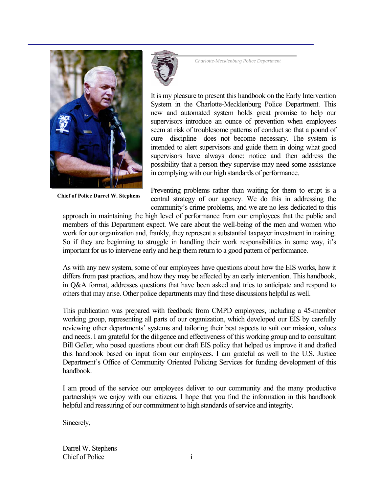

 **Chief of Police Darrel W. Stephens**

*Charlotte-Mecklenburg Police Department* 

It is my pleasure to present this handbook on the Early Intervention System in the Charlotte-Mecklenburg Police Department. This new and automated system holds great promise to help our supervisors introduce an ounce of prevention when employees seem at risk of troublesome patterns of conduct so that a pound of cure—discipline—does not become necessary. The system is intended to alert supervisors and guide them in doing what good supervisors have always done: notice and then address the possibility that a person they supervise may need some assistance in complying with our high standards of performance.

Preventing problems rather than waiting for them to erupt is a central strategy of our agency. We do this in addressing the community's crime problems, and we are no less dedicated to this

approach in maintaining the high level of performance from our employees that the public and members of this Department expect. We care about the well-being of the men and women who work for our organization and, frankly, they represent a substantial taxpayer investment in training. So if they are beginning to struggle in handling their work responsibilities in some way, it's important for us to intervene early and help them return to a good pattern of performance.

As with any new system, some of our employees have questions about how the EIS works, how it differs from past practices, and how they may be affected by an early intervention. This handbook, in Q&A format, addresses questions that have been asked and tries to anticipate and respond to others that may arise. Other police departments may find these discussions helpful as well.

This publication was prepared with feedback from CMPD employees, including a 45-member working group, representing all parts of our organization, which developed our EIS by carefully reviewing other departments' systems and tailoring their best aspects to suit our mission, values and needs. I am grateful for the diligence and effectiveness of this working group and to consultant Bill Geller, who posed questions about our draft EIS policy that helped us improve it and drafted this handbook based on input from our employees. I am grateful as well to the U.S. Justice Department's Office of Community Oriented Policing Services for funding development of this handbook.

I am proud of the service our employees deliver to our community and the many productive partnerships we enjoy with our citizens. I hope that you find the information in this handbook helpful and reassuring of our commitment to high standards of service and integrity.

Sincerely,

Darrel W. Stephens Chief of Police i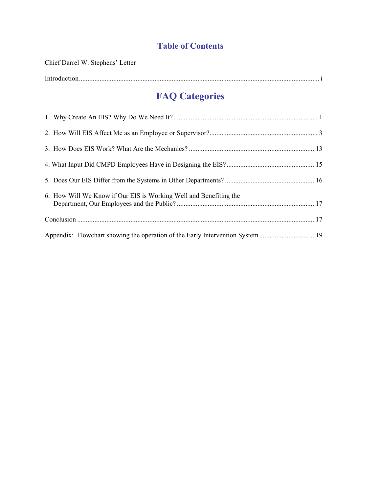## **Table of Contents**

| Chief Darrel W. Stephens' Letter |  |
|----------------------------------|--|
|                                  |  |

# **FAQ Categories**

| 6. How Will We Know if Our EIS is Working Well and Benefiting the |  |
|-------------------------------------------------------------------|--|
|                                                                   |  |
|                                                                   |  |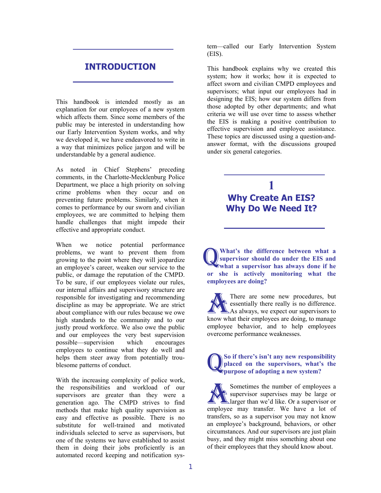#### **INTRODUCTION**

This handbook is intended mostly as an explanation for our employees of a new system which affects them. Since some members of the public may be interested in understanding how our Early Intervention System works, and why we developed it, we have endeavored to write in a way that minimizes police jargon and will be understandable by a general audience.

As noted in Chief Stephens' preceding comments, in the Charlotte-Mecklenburg Police Department, we place a high priority on solving crime problems when they occur and on preventing future problems. Similarly, when it comes to performance by our sworn and civilian employees, we are committed to helping them handle challenges that might impede their effective and appropriate conduct.

When we notice potential performance problems, we want to prevent them from growing to the point where they will jeopardize an employee's career, weaken our service to the public, or damage the reputation of the CMPD. To be sure, if our employees violate our rules, our internal affairs and supervisory structure are responsible for investigating and recommending discipline as may be appropriate. We are strict about compliance with our rules because we owe high standards to the community and to our justly proud workforce. We also owe the public and our employees the very best supervision possible—supervision which encourages employees to continue what they do well and helps them steer away from potentially troublesome patterns of conduct.

With the increasing complexity of police work, the responsibilities and workload of our supervisors are greater than they were a generation ago. The CMPD strives to find methods that make high quality supervision as easy and effective as possible. There is no substitute for well-trained and motivated individuals selected to serve as supervisors, but one of the systems we have established to assist them in doing their jobs proficiently is an automated record keeping and notification system—called our Early Intervention System (EIS).

This handbook explains why we created this system; how it works; how it is expected to affect sworn and civilian CMPD employees and supervisors; what input our employees had in designing the EIS; how our system differs from those adopted by other departments; and what criteria we will use over time to assess whether the EIS is making a positive contribution to effective supervision and employee assistance. These topics are discussed using a question-andanswer format, with the discussions grouped under six general categories.

## **1 Why Create An EIS? Why Do We Need It?**

**What's the difference between what a supervisor should do under the EIS and**  What's the difference between what a supervisor should do under the EIS and what a supervisor has always done if he **or she is actively monitoring what the employees are doing?** 

There are some new procedures, but essentially there really is no difference. As always, we expect our supervisors to There are some new procedures, but<br>essentially there really is no difference.<br>As always, we expect our supervisors to<br>know what their employees are doing, to manage employee behavior, and to help employees overcome performance weaknesses.

**So if there's isn't any new responsibility placed on the supervisors, what's the placed on the supervisors, what's** purpose of adopting a new system?

Sometimes the number of employees a  $\triangle$  supervisor supervises may be large or larger than we'd like. Or a supervisor or Sometimes the number of employees a<br>supervisor supervises may be large or<br>larger than we'd like. Or a supervisor or<br>employee may transfer. We have a lot of transfers, so as a supervisor you may not know an employee's background, behaviors, or other circumstances. And our supervisors are just plain busy, and they might miss something about one of their employees that they should know about.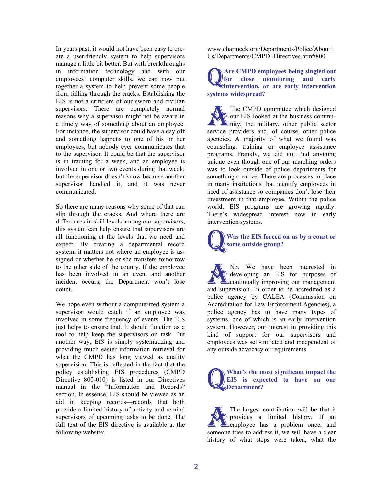In years past, it would not have been easy to create a user-friendly system to help supervisors manage a little bit better. But with breakthroughs in information technology and with our employees' computer skills, we can now put together a system to help prevent some people from falling through the cracks. Establishing the EIS is not a criticism of our sworn and civilian supervisors. There are completely normal reasons why a supervisor might not be aware in a timely way of something about an employee. For instance, the supervisor could have a day off and something happens to one of his or her employees, but nobody ever communicates that to the supervisor. It could be that the supervisor is in training for a week, and an employee is involved in one or two events during that week; but the supervisor doesn't know because another supervisor handled it, and it was never communicated.

So there are many reasons why some of that can slip through the cracks. And where there are differences in skill levels among our supervisors, this system can help ensure that supervisors are all functioning at the levels that we need and expect. By creating a departmental record system, it matters not where an employee is assigned or whether he or she transfers tomorrow to the other side of the county. If the employee has been involved in an event and another incident occurs, the Department won't lose count.

We hope even without a computerized system a supervisor would catch if an employee was involved in some frequency of events. The EIS just helps to ensure that. It should function as a tool to help keep the supervisors on task. Put another way, EIS is simply systematizing and providing much easier information retrieval for what the CMPD has long viewed as quality supervision. This is reflected in the fact that the policy establishing EIS procedures (CMPD Directive 800-010) is listed in our Directives manual in the "Information and Records" section. In essence, EIS should be viewed as an aid in keeping records—records that both provide a limited history of activity and remind supervisors of upcoming tasks to be done. The full text of the EIS directive is available at the following website:

www.charmeck.org/Departments/Police/About+ Us/Departments/CMPD+Directives.htm#800

**Are CMPD employees being singled out for close monitoring and early intervention, or are early intervention systems widespread?**  Q

The CMPD committee which designed our EIS looked at the business community, the military, other public sector The CMPD committee which designed<br>
our EIS looked at the business commu-<br>
nity, the military, other public sector<br>
service providers and, of course, other police agencies. A majority of what we found was counseling, training or employee assistance programs. Frankly, we did not find anything unique even though one of our marching orders was to look outside of police departments for something creative. There are processes in place in many institutions that identify employees in need of assistance so companies don't lose their investment in that employee. Within the police world, EIS programs are growing rapidly. There's widespread interest now in early intervention systems.

**Was the EIS forced on us by a court or some outside group?** Q

No. We have been interested in developing an EIS for purposes of continually improving our management No. We have been interested in developing an EIS for purposes of continually improving our management and supervision. In order to be accredited as a police agency by CALEA (Commission on Accreditation for Law Enforcement Agencies), a police agency has to have many types of systems, one of which is an early intervention system. However, our interest in providing this kind of support for our supervisors and employees was self-initiated and independent of any outside advocacy or requirements.

**What's the most significant impact the EIS is expected to have on our Department?**  Q

The largest contribution will be that it provides a limited history. If an employee has a problem once, and The largest contribution will be that it<br>provides a limited history. If an<br>someone tries to address it, we will have a clear history of what steps were taken, what the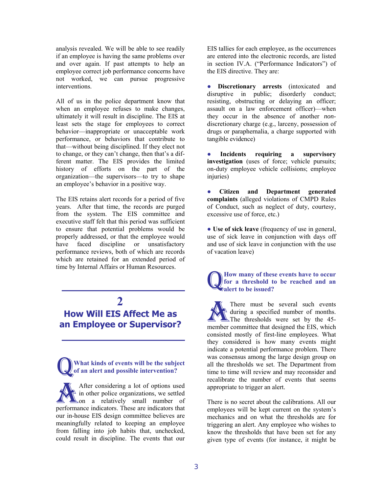analysis revealed. We will be able to see readily if an employee is having the same problems over and over again. If past attempts to help an employee correct job performance concerns have not worked, we can pursue progressive interventions.

All of us in the police department know that when an employee refuses to make changes, ultimately it will result in discipline. The EIS at least sets the stage for employees to correct behavior—inappropriate or unacceptable work performance, or behaviors that contribute to that—without being disciplined. If they elect not to change, or they can't change, then that's a different matter. The EIS provides the limited history of efforts on the part of the organization—the supervisors—to try to shape an employee's behavior in a positive way.

The EIS retains alert records for a period of five years. After that time, the records are purged from the system. The EIS committee and executive staff felt that this period was sufficient to ensure that potential problems would be properly addressed, or that the employee would have faced discipline or unsatisfactory performance reviews, both of which are records which are retained for an extended period of time by Internal Affairs or Human Resources.

### **2**

## **How Will EIS Affect Me as an Employee or Supervisor?**

**What kinds of events will be the subject of an alert and possible intervention?** Q

After considering a lot of options used in other police organizations, we settled on a relatively small number of After considering a lot of options used<br>
in other police organizations, we settled<br>
on a relatively small number of<br>
performance indicators. These are indicators that our in-house EIS design committee believes are meaningfully related to keeping an employee from falling into job habits that, unchecked, could result in discipline. The events that our

EIS tallies for each employee, as the occurrences are entered into the electronic records, are listed in section IV.A. ("Performance Indicators") of the EIS directive. They are:

● **Discretionary arrests** (intoxicated and disruptive in public; disorderly conduct; resisting, obstructing or delaying an officer; assault on a law enforcement officer)—when they occur in the absence of another *non*discretionary charge (e.g., larceny, possession of drugs or paraphernalia, a charge supported with tangible evidence)

● **Incidents requiring a supervisory investigation** (uses of force; vehicle pursuits; on-duty employee vehicle collisions; employee injuries)

● **Citizen and Department generated complaints** (alleged violations of CMPD Rules of Conduct, such as neglect of duty, courtesy, excessive use of force, etc.)

● **Use of sick leave** (frequency of use in general, use of sick leave in conjunction with days off and use of sick leave in conjunction with the use of vacation leave)

**How many of these events have to occur for a threshold to be reached and an a** How many of these for a threshold to alert to be issued?

There must be several such events during a specified number of months. The thresholds were set by the 45-There must be several such events<br>during a specified number of months.<br>The thresholds were set by the 45-<br>member committee that designed the EIS, which consisted mostly of first-line employees. What they considered is how many events might indicate a potential performance problem. There was consensus among the large design group on all the thresholds we set. The Department from time to time will review and may reconsider and recalibrate the number of events that seems appropriate to trigger an alert.

There is no secret about the calibrations. All our employees will be kept current on the system's mechanics and on what the thresholds are for triggering an alert. Any employee who wishes to know the thresholds that have been set for any given type of events (for instance, it might be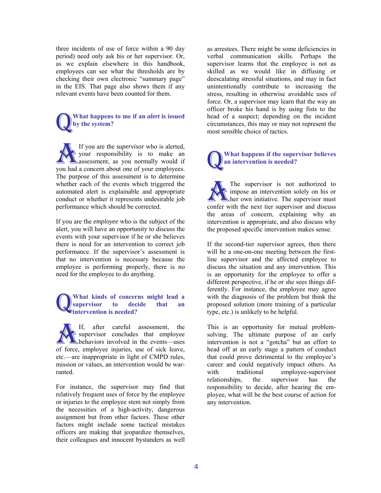three incidents of use of force within a 90 day period) need only ask his or her supervisor. Or, as we explain elsewhere in this handbook, employees can see what the thresholds are by checking their own electronic "summary page" in the EIS. That page also shows them if any relevant events have been counted for them.

### **What happens to me if an** *alert* **is issued by the system?**  Q

If you are the *supervisor* who is alerted, your responsibility is to make an assessment, as you normally would if If you are the *supervisor* who is alerted,<br>
your responsibility is to make an<br>
assessment, as you normally would if<br>
you had a concern about one of your employees. The purpose of this assessment is to determine whether each of the events which triggered the automated alert is explainable and appropriate conduct or whether it represents undesirable job performance which should be corrected.

If you are the *employee* who is the subject of the alert, you will have an opportunity to discuss the events with your supervisor if he or she believes there is need for an intervention to correct job performance. If the supervisor's assessment is that no intervention is necessary because the employee is performing properly, there is no need for the employee to do anything.

#### **What kinds of concerns might lead a supervisor to decide that an intervention is needed?**  Q

If, after careful assessment, the supervisor concludes that employee behaviors involved in the events—uses If, after careful assessment, the<br>supervisor concludes that employee<br>behaviors involved in the events—uses<br>of force, employee injuries, use of sick leave, etc.—are inappropriate in light of CMPD rules, mission or values, an intervention would be warranted.

For instance, the supervisor may find that relatively frequent uses of force by the employee or injuries to the employee stem not simply from the necessities of a high-activity, dangerous assignment but from other factors. These other factors might include some tactical mistakes officers are making that jeopardize themselves, their colleagues and innocent bystanders as well as arrestees. There might be some deficiencies in verbal communication skills. Perhaps the supervisor learns that the employee is not as skilled as we would like in diffusing or deescalating stressful situations, and may in fact unintentionally contribute to increasing the stress, resulting in otherwise avoidable uses of force. Or, a supervisor may learn that the way an officer broke his hand is by using fists to the head of a suspect; depending on the incident circumstances, this may or may not represent the most sensible choice of tactics.

### **What happens if the supervisor believes an intervention is needed?**   $\mathbb{Q}^{\mathrm{w}}_{\mathrm{an}}$

The supervisor is not authorized to  $\lambda$  impose an intervention solely on his or **A** her own initiative. The supervisor must The supervisor is not authorized to impose an intervention solely on his or her own initiative. The supervisor must confer with the next tier supervisor and discuss the areas of concern, explaining why an intervention is appropriate, and also discuss why the proposed specific intervention makes sense.

If the second-tier supervisor agrees, then there will be a one-on-one meeting between the firstline supervisor and the affected employee to discuss the situation and any intervention. This is an opportunity for the employee to offer a different perspective, if he or she sees things differently. For instance, the employee may agree with the diagnosis of the problem but think the proposed solution (more training of a particular type, etc.) is unlikely to be helpful.

This is an opportunity for mutual problemsolving. The ultimate purpose of an early intervention is not a "gotcha" but an effort to head off at an early stage a pattern of conduct that could prove detrimental to the employee's career and could negatively impact others. As with traditional employee-supervisor relationships, the supervisor has the responsibility to decide, after hearing the employee, what will be the best course of action for any intervention.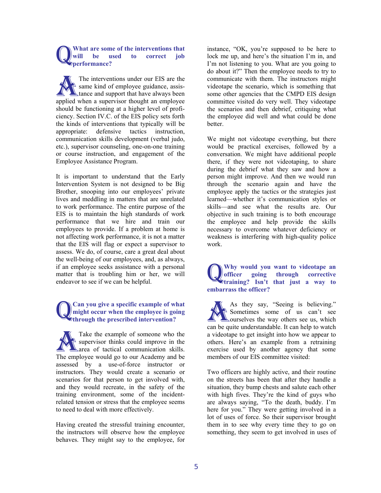**What are some of the interventions that will be used to correct job performance?**  Q

The interventions under our EIS are the same kind of employee guidance, assis-**Letance and support that have always been** The interventions under our EIS are the<br>same kind of employee guidance, assis-<br>tance and support that have always been<br>applied when a supervisor thought an employee should be functioning at a higher level of proficiency. Section IV.C. of the EIS policy sets forth the kinds of interventions that typically will be appropriate: defensive tactics instruction, communication skills development (verbal judo, etc.), supervisor counseling, one-on-one training or course instruction, and engagement of the Employee Assistance Program.

It is important to understand that the Early Intervention System is not designed to be Big Brother, snooping into our employees' private lives and meddling in matters that are unrelated to work performance. The entire purpose of the EIS is to maintain the high standards of work performance that we hire and train our employees to provide. If a problem at home is not affecting work performance, it is not a matter that the EIS will flag or expect a supervisor to assess. We do, of course, care a great deal about the well-being of our employees, and, as always, if an employee seeks assistance with a personal matter that is troubling him or her, we will endeavor to see if we can be helpful.

### **Can you give a specific example of what might occur when the employee is going Can you give a specific example of when the employee is got through the prescribed intervention?**

Take the example of someone who the supervisor thinks could improve in the **Larea** of tactical communication skills. Take the example of someone who the<br>
supervisor thinks could improve in the<br>
area of tactical communication skills.<br>
The employee would go to our Academy and be assessed by a use-of-force instructor or instructors. They would create a scenario or scenarios for that person to get involved with, and they would recreate, in the safety of the training environment, some of the incidentrelated tension or stress that the employee seems to need to deal with more effectively.

Having created the stressful training encounter, the instructors will observe how the employee behaves. They might say to the employee, for

instance, "OK, you're supposed to be here to lock me up, and here's the situation I'm in, and I'm not listening to you. What are you going to do about it?" Then the employee needs to try to communicate with them. The instructors might videotape the scenario, which is something that some other agencies that the CMPD EIS design committee visited do very well. They videotape the scenarios and then debrief, critiquing what the employee did well and what could be done better.

We might not videotape everything, but there would be practical exercises, followed by a conversation. We might have additional people there, if they were not videotaping, to share during the debrief what they saw and how a person might improve. And then we would run through the scenario again and have the employee apply the tactics or the strategies just learned—whether it's communication styles or skills—and see what the results are. Our objective in such training is to both encourage the employee and help provide the skills necessary to overcome whatever deficiency or weakness is interfering with high-quality police work.

**Why would you want to videotape an officer going through corrective training? Isn't that just a way to embarrass the officer?**  Q

As they say, "Seeing is believing." Sometimes some of us can't see ourselves the way others see us, which As they say, "Seeing is believing."<br>
Sometimes some of us can't see<br>
can be quite understandable. It can help to watch a videotape to get insight into how we appear to others. Here's an example from a retraining exercise used by another agency that some members of our EIS committee visited:

Two officers are highly active, and their routine on the streets has been that after they handle a situation, they bump chests and salute each other with high fives. They're the kind of guys who are always saying, "To the death, buddy. I'm here for you." They were getting involved in a lot of uses of force. So their supervisor brought them in to see why every time they to go on something, they seem to get involved in uses of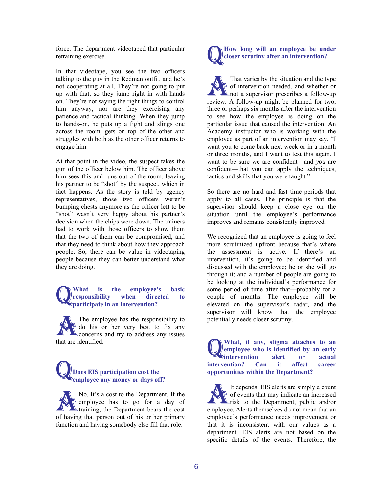force. The department videotaped that particular retraining exercise.

In that videotape, you see the two officers talking to the guy in the Redman outfit, and he's not cooperating at all. They're not going to put up with that, so they jump right in with hands on. They're not saying the right things to control him anyway, nor are they exercising any patience and tactical thinking. When they jump to hands-on, he puts up a fight and slings one across the room, gets on top of the other and struggles with both as the other officer returns to engage him.

At that point in the video, the suspect takes the gun of the officer below him. The officer above him sees this and runs out of the room, leaving his partner to be "shot" by the suspect, which in fact happens. As the story is told by agency representatives, those two officers weren't bumping chests anymore as the officer left to be "shot" wasn't very happy about his partner's decision when the chips were down. The trainers had to work with those officers to show them that the two of them can be compromised, and that they need to think about how they approach people. So, there can be value in videotaping people because they can better understand what they are doing.

#### **What is the employee's basic responsibility when directed to participate in an intervention?**  Q

The employee has the responsibility to do his or her very best to fix any concerns and try to address any issues The employees are that are identified.

### **Does EIS participation cost the employee any money or days off?**  Q

No. It's a cost to the Department. If the employee has to go for a day of **Ltraining**, the Department bears the cost of having that person out of his or her primary function and having somebody else fill that role. A



That varies by the situation and the type of intervention needed, and whether or not a supervisor prescribes a follow-up That varies by the situation and the type<br>of intervention needed, and whether or<br>not a supervisor prescribes a follow-up<br>review. A follow-up might be planned for two, three or perhaps six months after the intervention to see how the employee is doing on the particular issue that caused the intervention. An Academy instructor who is working with the employee as part of an intervention may say, "I want you to come back next week or in a month or three months, and I want to test this again. I want to be sure we are confident—and *you* are confident—that you can apply the techniques, tactics and skills that you were taught."

So there are no hard and fast time periods that apply to all cases. The principle is that the supervisor should keep a close eye on the situation until the employee's performance improves and remains consistently improved.

We recognized that an employee is going to feel more scrutinized upfront because that's where the assessment is active. If there's an intervention, it's going to be identified and discussed with the employee; he or she will go through it; and a number of people are going to be looking at the individual's performance for some period of time after that—probably for a couple of months. The employee will be elevated on the supervisor's radar, and the supervisor will know that the employee potentially needs closer scrutiny.

**What, if any, stigma attaches to an employee who is identified by an early**  *intervention* alert or actual **intervention? Can it affect career opportunities within the Department?**  Q

It depends. EIS alerts are simply a count of events that may indicate an increased It depends. EIS alerts are simply a count<br>of events that may indicate an increased<br>risk to the Department, public and/or<br>employee Alerts themselves do not mean that an employee. Alerts themselves do not mean that an employee's performance needs improvement or that it is inconsistent with our values as a department. EIS alerts are not based on the specific details of the events. Therefore, the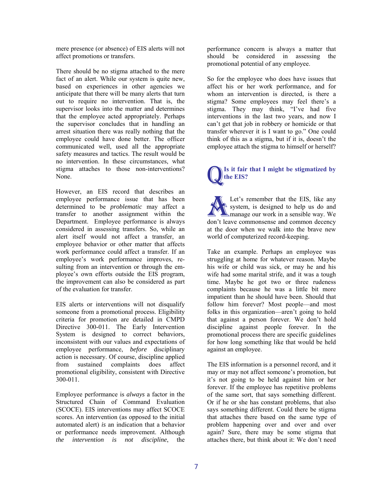mere presence (or absence) of EIS alerts will not affect promotions or transfers.

There should be no stigma attached to the mere fact of an alert. While our system is quite new, based on experiences in other agencies we anticipate that there will be many alerts that turn out to require no intervention. That is, the supervisor looks into the matter and determines that the employee acted appropriately. Perhaps the supervisor concludes that in handling an arrest situation there was really nothing that the employee could have done better. The officer communicated well, used all the appropriate safety measures and tactics. The result would be no intervention. In these circumstances, what stigma attaches to those non-interventions? None.

However, an EIS record that describes an employee performance issue that has been determined to be *problematic* may affect a transfer to another assignment within the Department. Employee performance is always considered in assessing transfers. So, while an alert itself would not affect a transfer, an employee behavior or other matter that affects work performance could affect a transfer. If an employee's work performance improves, resulting from an intervention or through the employee's own efforts outside the EIS program, the improvement can also be considered as part of the evaluation for transfer.

EIS alerts or interventions will not disqualify someone from a promotional process. Eligibility criteria for promotion are detailed in CMPD Directive 300-011. The Early Intervention System is designed to correct behaviors, inconsistent with our values and expectations of employee performance, *before* disciplinary action is necessary. Of course, discipline applied from sustained complaints does affect promotional eligibility, consistent with Directive 300-011.

Employee performance is *always* a factor in the Structured Chain of Command Evaluation (SCOCE). EIS interventions may affect SCOCE scores. An intervention (as opposed to the initial automated alert) *is* an indication that a behavior or performance needs improvement. Although *the intervention is not discipline*, the performance concern is always a matter that should be considered in assessing the promotional potential of any employee.

So for the employee who does have issues that affect his or her work performance, and for whom an intervention is directed, is there a stigma? Some employees may feel there's a stigma. They may think, "I've had five interventions in the last two years, and now I can't get that job in robbery or homicide or that transfer wherever it is I want to go." One could think of this as a stigma, but if it is, doesn't the employee attach the stigma to himself or herself?

### **Is it fair that I might be stigmatized by the EIS?**  $\mathbf{Q}^{\text{Is}}_{\text{th}}$

Let's remember that the EIS, like any system, is designed to help us do and manage our work in a sensible way. We Let's remember that the EIS, like any<br>system, is designed to help us do and<br>manage our work in a sensible way. We<br>don't leave commonsense and common decency at the door when we walk into the brave new world of computerized record-keeping.

Take an example. Perhaps an employee was struggling at home for whatever reason. Maybe his wife or child was sick, or may he and his wife had some marital strife, and it was a tough time. Maybe he got two or three rudeness complaints because he was a little bit more impatient than he should have been. Should that follow him forever? Most people—and most folks in this organization—aren't going to hold that against a person forever. We don't hold discipline against people forever. In the promotional process there are specific guidelines for how long something like that would be held against an employee.

The EIS information is a personnel record, and it may or may not affect someone's promotion, but it's not going to be held against him or her forever. If the employee has repetitive problems of the same sort, that says something different. Or if he or she has constant problems, that also says something different. Could there be stigma that attaches there based on the same type of problem happening over and over and over again? Sure, there may be some stigma that attaches there, but think about it: We don't need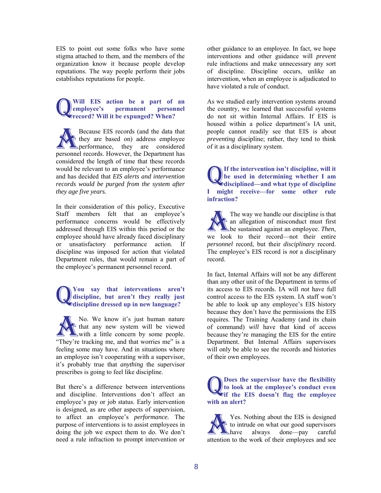EIS to point out some folks who have some stigma attached to them, and the members of the organization know it because people develop reputations. The way people perform their jobs establishes reputations for people.

#### **Will EIS action be a part of an employee's permanent personnel Frecord?** Will it be expunged? When? Q

Because EIS records (and the data that they are based on) address employee **Example 1** performance, they are considered Because EIS records (and the data that<br>they are based on) address employee<br>performance, they are considered<br>personnel records. However, the Department has considered the length of time that these records would be relevant to an employee's performance and has decided that *EIS alerts and intervention records would be purged from the system after they age five years.*

In their consideration of this policy, Executive Staff members felt that an employee's performance concerns would be effectively addressed through EIS within this period or the employee should have already faced disciplinary or unsatisfactory performance action. If discipline was imposed for action that violated Department rules, that would remain a part of the employee's permanent personnel record.

### **You say that interventions aren't discipline, but aren't they really just discipline, but aren't they really just aren't they really just discipline dressed up in new language?**

No. We know it's just human nature that any new system will be viewed with a little concern by some people. No. We know it's just human nature<br>that any new system will be viewed<br>with a little concern by some people.<br>"They're tracking me, and that worries me" is a feeling some may have. And in situations where an employee isn't cooperating with a supervisor, it's probably true that *anything* the supervisor prescribes is going to feel like discipline.

But there's a difference between interventions and discipline. Interventions don't affect an employee's pay or job status. Early intervention is designed, as are other aspects of supervision, to affect an employee's *performance.* The purpose of interventions is to assist employees in doing the job we expect them to do. We don't need a rule infraction to prompt intervention or other guidance to an employee. In fact, we hope interventions and other guidance will *prevent* rule infractions and make unnecessary any sort of discipline. Discipline occurs, unlike an intervention, when an employee is adjudicated to have violated a rule of conduct.

As we studied early intervention systems around the country, we learned that successful systems do not sit within Internal Affairs. If EIS is housed within a police department's IA unit, people cannot readily see that EIS is about *preventing* discipline; rather, they tend to think of it as a disciplinary system.

**If the intervention isn't discipline, will it be used in determining whether I am**  If the intervention isn't discipline, will it<br>be used in determining whether I am<br>disciplined—and what type of discipline **I might receive—for some other rule infraction?** 

The way we handle our discipline is that an allegation of misconduct must first be sustained against an employee. *Then*, The way we handle our discipline is that<br>an allegation of misconduct must first<br>be sustained against an employee. *Then*,<br>we look to their record—not their entire *personnel* record, but their *disciplinary* record. The employee's EIS record is *not* a disciplinary record.

In fact, Internal Affairs will not be any different than any other unit of the Department in terms of its access to EIS records. IA will *not* have full control access to the EIS system. IA staff won't be able to look up any employee's EIS history because they don't have the permissions the EIS requires. The Training Academy (and its chain of command) *will* have that kind of access because they're managing the EIS for the entire Department. But Internal Affairs supervisors will only be able to see the records and histories of their own employees.

**Does the supervisor have the flexibility to look at the employee's conduct even if the supervisor have the flexibility**<br>
to look at the employee's conduct even<br>
if the EIS doesn't flag the employee **with an alert?** 

Yes. Nothing about the EIS is designed to intrude on what our good supervisors have always done—pay careful Yes. Nothing about the EIS is designed<br>to intrude on what our good supervisors<br>ahave always done—pay careful<br>attention to the work of their employees and see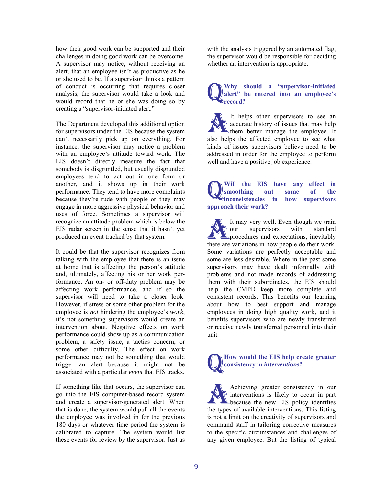how their good work can be supported and their challenges in doing good work can be overcome. A supervisor may notice, without receiving an alert, that an employee isn't as productive as he or she used to be. If a supervisor thinks a pattern of conduct is occurring that requires closer analysis, the supervisor would take a look and would record that he or she was doing so by creating a "supervisor-initiated alert."

The Department developed this additional option for supervisors under the EIS because the system can't necessarily pick up on everything. For instance, the supervisor may notice a problem with an employee's attitude toward work. The EIS doesn't directly measure the fact that somebody is disgruntled, but usually disgruntled employees tend to act out in one form or another, and it shows up in their work performance. They tend to have more complaints because they're rude with people or they may engage in more aggressive physical behavior and uses of force. Sometimes a supervisor will recognize an attitude problem which is below the EIS radar screen in the sense that it hasn't yet produced an event tracked by that system.

It could be that the supervisor recognizes from talking with the employee that there is an issue at home that is affecting the person's attitude and, ultimately, affecting his or her work performance. An on- or off-duty problem may be affecting work performance, and if so the supervisor will need to take a closer look. However, if stress or some other problem for the employee is *not* hindering the employee's *work*, it's not something supervisors would create an intervention about. Negative effects on work performance could show up as a communication problem, a safety issue, a tactics concern, or some other difficulty. The effect on work performance may not be something that would trigger an alert because it might not be associated with a particular *event* that EIS tracks.

If something like that occurs, the supervisor can go into the EIS computer-based record system and create a supervisor-generated alert. When that is done, the system would pull all the events the employee was involved in for the previous 180 days or whatever time period the system is calibrated to capture. The system would list these events for review by the supervisor. Just as

with the analysis triggered by an automated flag, the supervisor would be responsible for deciding whether an intervention is appropriate.

**Why should a "supervisor-initiated alert" be entered into an employee's record?**  Q

It helps other supervisors to see an  $\triangle$  accurate history of issues that may help them better manage the employee. It It helps other supervisors to see an accurate history of issues that may help them better manage the employee. It also helps the affected employee to see what kinds of issues supervisors believe need to be addressed in order for the employee to perform well and have a positive job experience.

**Will the EIS have any effect in smoothing out some of the inconsistencies in how supervisors approach their work?**  Q

It may very well. Even though we train our supervisors with standard procedures and expectations, inevitably It may very well. Even though we train<br>our supervisors with standard<br>procedures and expectations, inevitably<br>there are variations in how people do their work. Some variations are perfectly acceptable and some are less desirable. Where in the past some supervisors may have dealt informally with problems and not made records of addressing them with their subordinates, the EIS should help the CMPD keep more complete and consistent records. This benefits our learning about how to best support and manage employees in doing high quality work, and it benefits supervisors who are newly transferred or receive newly transferred personnel into their unit.

**How would the EIS help create greater consistency in** *interventions***?**  Q

Achieving greater consistency in our interventions is likely to occur in part **Exercise** the new EIS policy identifies the types of available interventions. This listing is not a limit on the creativity of supervisors and command staff in tailoring corrective measures to the specific circumstances and challenges of any given employee. But the listing of typical **ALL**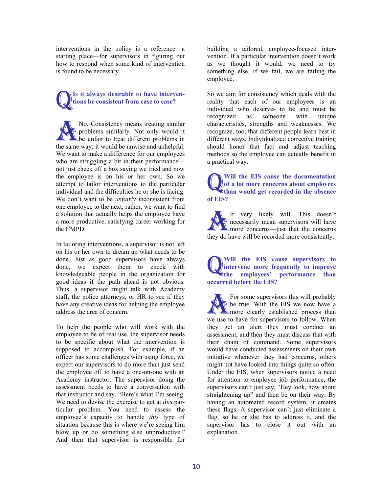interventions in the policy is a reference—a starting place—for supervisors in figuring out how to respond when some kind of intervention is found to be necessary.

### **Is it always desirable to have interventions be consistent from case to case?**  Q

No. Consistency means treating similar problems similarly. Not only would it be unfair to treat different problems in No. Consistency means treating similar<br>problems similarly. Not only would it<br>be unfair to treat different problems in<br>the same way; it would be unwise and unhelpful. We want to make a difference for our employees who are struggling a bit in their performance not just check off a box saying we tried and now the employee is on his or her own. So we attempt to tailor interventions to the particular individual and the difficulties he or she is facing. We don't want to be *unfairly* inconsistent from one employee to the next; rather, we want to find a solution that actually helps the employee have a more productive, satisfying career working for the CMPD.

In tailoring interventions, a supervisor is not left on his or her own to dream up what needs to be done. Just as good supervisors have always done, we expect them to check with knowledgeable people in the organization for good ideas if the path ahead is not obvious. Thus, a supervisor might talk with Academy staff, the police attorneys, or HR to see if they have any creative ideas for helping the employee address the area of concern.

To help the people who will work with the employee to be of real use, the supervisor needs to be specific about what the intervention is supposed to accomplish. For example, if an officer has some challenges with using force, we expect our supervisors to do more than just send the employee off to have a one-on-one with an Academy instructor. The supervisor doing the assessment needs to have a conversation with that instructor and say, "Here's what I'm seeing. We need to devise the exercise to get at *this* particular problem. You need to assess the employee's capacity to handle *this* type of situation because this is where we're seeing him blow up or do something else unproductive." And then that supervisor is responsible for

building a tailored, employee-focused intervention. If a particular intervention doesn't work as we thought it would, we need to try something else. If we fail, we are failing the employee.

So we aim for consistency which deals with the reality that each of our employees is an individual who deserves to be and must be recognized as someone with unique characteristics, strengths and weaknesses. We recognize, too, that different people learn best in different ways. Individualized corrective training should honor that fact and adjust teaching methods so the employee can actually benefit in a practical way.

**Will the EIS cause the documentation of a lot more concerns about employees**  *than would get recorded in the absence* **of EIS?**  Q

It very likely will. This doesn't necessarily mean supervisors will have more concerns—just that the concerns It very likely will. This doesn't necessarily mean supervisors will have more concerns—just that the concerns they do have will be recorded more consistently.

**Will the EIS cause supervisors to intervene more frequently to improve the employees' performance than occurred before the EIS?**  Q

For some supervisors this will probably be true. With the EIS we now have a more clearly established process than For some supervisors this will probably<br>be true. With the EIS we now have a<br>more clearly established process than<br>we use to have for supervisors to follow. When they get an alert they must conduct an assessment, and then they must discuss that with their chain of command. Some supervisors would have conducted assessments on their own initiative whenever they had concerns, others might not have looked into things quite so often. Under the EIS, when supervisors notice a need for attention to employee job performance, the supervisors can't just say, "Hey look, how about straightening up" and then be on their way. By having an automated record system, it creates these flags. A supervisor can't just eliminate a flag, so he or she has to address it, and the supervisor has to close it out with an explanation.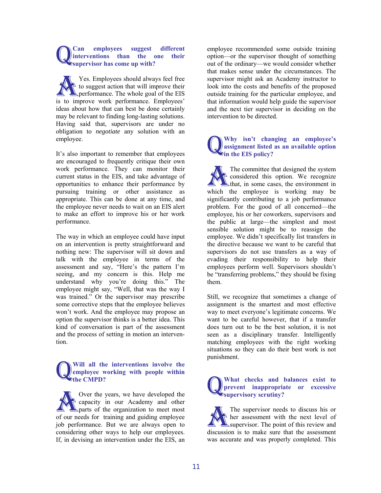### **Can employees suggest different interventions than the one their Can** employees suggest<br>interventions than the o<br>supervisor has come up with?

Yes. Employees should always feel free to suggest action that will improve their **Sperformance.** The whole goal of the EIS Yes. Employees should always feel free<br>to suggest action that will improve their<br>performance. The whole goal of the EIS<br>is to improve work performance. Employees' ideas about how that can best be done certainly may be relevant to finding long-lasting solutions. Having said that, supervisors are under no obligation to *negotiate* any solution with an employee.

It's also important to remember that employees are encouraged to frequently critique their own work performance. They can monitor their current status in the EIS, and take advantage of opportunities to enhance their performance by pursuing training or other assistance as appropriate. This can be done at any time, and the employee never needs to wait on an EIS alert to make an effort to improve his or her work performance.

The way in which an employee could have input on an intervention is pretty straightforward and nothing new: The supervisor will sit down and talk with the employee in terms of the assessment and say, "Here's the pattern I'm seeing, and my concern is this. Help me understand why you're doing this." The employee might say, "Well, that was the way I was trained." Or the supervisor may prescribe some corrective steps that the employee believes won't work. And the employee may propose an option the supervisor thinks is a better idea. This kind of conversation is part of the assessment and the process of setting in motion an intervention.

### **Will all the interventions involve the employee working with people within**  Will all the employee w

Over the years, we have developed the  $\triangle$  capacity in our Academy and other parts of the organization to meet most Over the years, we have developed the capacity in our Academy and other<br>parts of the organization to meet most<br>of our needs for training and guiding employee job performance. But we are always open to considering other ways to help our employees. If, in devising an intervention under the EIS, an employee recommended some outside training option—or the supervisor thought of something out of the ordinary—we would consider whether that makes sense under the circumstances. The supervisor might ask an Academy instructor to look into the costs and benefits of the proposed outside training for the particular employee, and that information would help guide the supervisor and the next tier supervisor in deciding on the intervention to be directed.

### **Why isn't changing an employee's assignment listed as an available option**  Why isn't chan assignment listed is a said that the EIS policy?

The committee that designed the system considered this option. We recognize that, in some cases, the environment in The committee that designed the system<br>considered this option. We recognize<br>that, in some cases, the environment in<br>which the employee is working may be significantly contributing to a job performance problem. For the good of all concerned—the employee, his or her coworkers, supervisors and the public at large—the simplest and most sensible solution might be to reassign the employee. We didn't specifically list transfers in the directive because we want to be careful that supervisors do not use transfers as a way of evading their responsibility to help their employees perform well. Supervisors shouldn't be "transferring problems," they should be fixing them.

Still, we recognize that sometimes a change of assignment is the smartest and most effective way to meet everyone's legitimate concerns. We want to be careful however, that if a transfer does turn out to be the best solution, it is not seen as a disciplinary transfer. Intelligently matching employees with the right working situations so they can do their best work is not punishment.

#### **What checks and balances exist to prevent inappropriate or excessive supervisory scrutiny?** Q

The supervisor needs to discuss his or her assessment with the next level of supervisor. The point of this review and The supervisor needs to discuss his or<br>her assessment with the next level of<br>supervisor. The point of this review and<br>discussion is to make sure that the assessment was accurate and was properly completed. This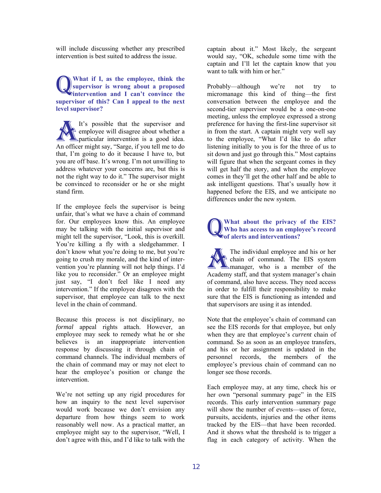will include discussing whether any prescribed intervention is best suited to address the issue.

**What if I, as the employee, think the supervisor is wrong about a proposed**  What if I, as the employee, think the supervisor is wrong about a proposed intervention and I can't convince the **supervisor of this? Can I appeal to the next level supervisor?** 

It's possible that the supervisor and employee will disagree about whether a particular intervention is a good idea. An officer might say, "Sarge, if you tell me to do that, I'm going to do it because I have to, but you are off base. It's wrong. I'm not unwilling to address whatever your concerns are, but this is not the right way to do it." The supervisor might be convinced to reconsider or he or she might stand firm. **ALL** 

If the employee feels the supervisor is being unfair, that's what we have a chain of command for. Our employees know this. An employee may be talking with the initial supervisor and might tell the supervisor, "Look, this is overkill. You're killing a fly with a sledgehammer. I don't know what you're doing to me, but you're going to crush my morale, and the kind of intervention you're planning will not help things. I'd like you to reconsider." Or an employee might just say, "I don't feel like I need any intervention." If the employee disagrees with the supervisor, that employee can talk to the next level in the chain of command.

Because this process is not disciplinary, no *formal* appeal rights attach. However, an employee may seek to remedy what he or she believes is an inappropriate intervention response by discussing it through chain of command channels. The individual members of the chain of command may or may not elect to hear the employee's position or change the intervention.

We're not setting up any rigid procedures for how an inquiry to the next level supervisor would work because we don't envision any departure from how things seem to work reasonably well now. As a practical matter, an employee might say to the supervisor, "Well, I don't agree with this, and I'd like to talk with the captain about it." Most likely, the sergeant would say, "OK, schedule some time with the captain and I'll let the captain know that you want to talk with him or her."

Probably—although we're not try to micromanage this kind of thing—the first conversation between the employee and the second-tier supervisor would be a one-on-one meeting, unless the employee expressed a strong preference for having the first-line supervisor sit in from the start. A captain might very well say to the employee, "What I'd like to do after listening initially to you is for the three of us to sit down and just go through this." Most captains will figure that when the sergeant comes in they will get half the story, and when the employee comes in they'll get the other half and be able to ask intelligent questions. That's usually how it happened before the EIS, and we anticipate no differences under the new system.

### **What about the privacy of the EIS? Who has access to an employee's record**  What about the privacy of alerts and interventions?

The individual employee and his or her chain of command. The EIS system manager, who is a member of the The individual employee and his or her chain of command. The EIS system manager, who is a member of the Academy staff, and that system manager's chain of command, also have access. They need access in order to fulfill their responsibility to make sure that the EIS is functioning as intended and that supervisors are using it as intended.

Note that the employee's chain of command can see the EIS records for that employee, but only when they are that employee's *current* chain of command. So as soon as an employee transfers, and his or her assignment is updated in the personnel records, the members of the employee's previous chain of command can no longer see those records.

Each employee may, at any time, check his or her own "personal summary page" in the EIS records. This early intervention summary page will show the number of events—uses of force, pursuits, accidents, injuries and the other items tracked by the EIS—that have been recorded. And it shows what the threshold is to trigger a flag in each category of activity. When the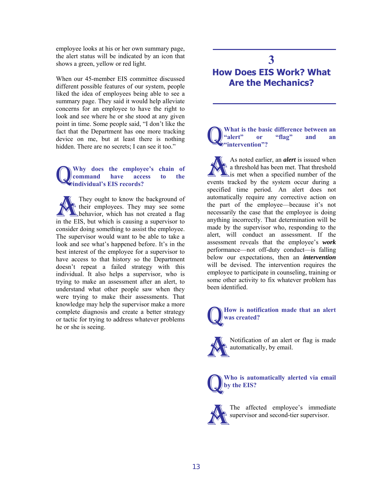employee looks at his or her own summary page, the alert status will be indicated by an icon that shows a green, yellow or red light.

When our 45-member EIS committee discussed different possible features of our system, people liked the idea of employees being able to see a summary page. They said it would help alleviate concerns for an employee to have the right to look and see where he or she stood at any given point in time. Some people said, "I don't like the fact that the Department has one more tracking device on me, but at least there is nothing hidden. There are no secrets: I can see it too."

#### **Why does the employee's chain of command have access to the individual's EIS records?**  Q

They ought to know the background of their employees. They may see some behavior, which has not created a flag They ought to know the background of<br>their employees. They may see some<br>behavior, which has not created a flag<br>in the EIS, but which is causing a supervisor to consider doing something to assist the employee. The supervisor would want to be able to take a look and see what's happened before. It's in the best interest of the employee for a supervisor to have access to that history so the Department doesn't repeat a failed strategy with this individual. It also helps a supervisor, who is trying to make an assessment after an alert, to understand what other people saw when they were trying to make their assessments. That knowledge may help the supervisor make a more complete diagnosis and create a better strategy or tactic for trying to address whatever problems he or she is seeing.

## **3 How Does EIS Work? What Are the Mechanics?**

**What is the basic difference between an "alert" or "flag" and an Example 12 intervention**"? Q

As noted earlier, an *alert* is issued when a threshold has been met. That threshold is met when a specified number of the As noted earlier, an **alert** is issued when<br>a threshold has been met. That threshold<br>is met when a specified number of the<br>events tracked by the system occur during a specified time period. An alert does not automatically require any corrective action on the part of the employee—because it's not necessarily the case that the employee is doing anything incorrectly. That determination will be made by the supervisor who, responding to the alert, will conduct an assessment. If the assessment reveals that the employee's *work* performance—not off-duty conduct—is falling below our expectations, then an *intervention* will be devised. The intervention requires the employee to participate in counseling, training or some other activity to fix whatever problem has been identified.





Notification of an alert or flag is made automatically, by email.

**Who is automatically alerted via email by the EIS?**  Q

The affected employee's immediate  $\triangle$  supervisor and second-tier supervisor. A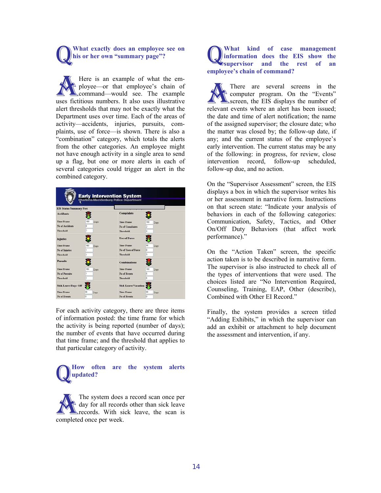**What exactly does an employee see on his or her own "summary page"?**  Q

Here is an example of what the employee—or that employee's chain of command—would see. The example Here is an example of what the employee or that employee's chain of command—would see. The example uses fictitious numbers. It also uses illustrative alert thresholds that may not be exactly what the Department uses over time. Each of the areas of activity—accidents, injuries, pursuits, complaints, use of force—is shown. There is also a "combination" category, which totals the alerts from the other categories. An employee might not have enough activity in a single area to send up a flag, but one or more alerts in each of several categories could trigger an alert in the combined category.

| <b>EIS Status Summary For:</b> |                         |                            |     |       |
|--------------------------------|-------------------------|----------------------------|-----|-------|
| <b>Accidents</b>               |                         | <b>Complaints</b>          |     |       |
| <b>Time Frame</b>              | 180<br>Days             | <b>Time Frame</b>          | 180 | Days  |
| No of Accidents                | o                       | <b>No of Complaints</b>    |     |       |
| Threshold                      | $\overline{2}$          | <b>Threshold</b>           | h   |       |
| <b>Injuries</b>                |                         | <b>Use of Force</b>        |     |       |
| <b>Time Frame</b>              | 180<br>D <sub>NT2</sub> | <b>Time Frame</b>          | 90  | Days  |
| No of Injuries                 |                         | No of Hees of Force        | lo  |       |
| Threshold                      | $\overline{2}$          | Threshold                  | ā   |       |
| <b>Pursuits</b>                |                         | <b>Combinations</b>        |     |       |
| <b>Time Frame</b>              | 180<br>Days             | <b>Time Frame</b>          | 180 | Days. |
| <b>No of Pursuits</b>          |                         | No of Events               | 5   |       |
| Threshold                      | ٨                       | Threshold                  | ī,  |       |
| <b>Sick Leave/Days Off</b>     |                         | <b>Sick Leave/Vacation</b> |     |       |
| <b>Time Frame</b>              | 90<br>Days              | <b>Time Frame</b>          | 90  | Days  |
| No of Events                   | n                       | <b>No of Events</b>        | ١o  |       |

For each activity category, there are three items of information posted: the time frame for which the activity is being reported (number of days); the number of events that have occurred during that time frame; and the threshold that applies to that particular category of activity.

#### **How often are the system alerts updated?**  Q

The system does a record scan once per day for all records other than sick leave records. With sick leave, the scan is The system does a<br>day for all records<br>records. With side<br>completed once per week.

#### **What kind of case management information does the EIS show the supervisor and the rest of an employee's chain of command?**  Q

There are several screens in the computer program. On the "Events" screen, the EIS displays the number of There are several screens in the computer program. On the "Events" screen, the EIS displays the number of relevant events where an alert has been issued; the date and time of alert notification; the name of the assigned supervisor; the closure date; who the matter was closed by; the follow-up date, if any; and the current status of the employee's early intervention. The current status may be any of the following: in progress, for review, close intervention record, follow-up scheduled, follow-up due, and no action.

On the "Supervisor Assessment" screen, the EIS displays a box in which the supervisor writes his or her assessment in narrative form. Instructions on that screen state: "Indicate your analysis of behaviors in each of the following categories: Communication, Safety, Tactics, and Other On/Off Duty Behaviors (that affect work performance)."

On the "Action Taken" screen, the specific action taken is to be described in narrative form. The supervisor is also instructed to check all of the types of interventions that were used. The choices listed are "No Intervention Required, Counseling, Training, EAP, Other (describe), Combined with Other EI Record."

Finally, the system provides a screen titled "Adding Exhibits," in which the supervisor can add an exhibit or attachment to help document the assessment and intervention, if any.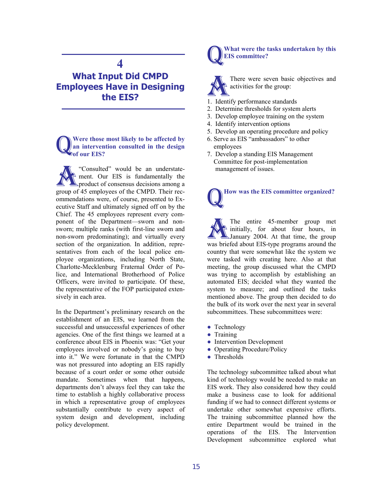### **4**

## **What Input Did CMPD Employees Have in Designing the EIS?**

#### **Were those most likely to be affected by an intervention consulted in the design of our EIS?**  Q

"Consulted" would be an understatement. Our EIS is fundamentally the product of consensus decisions among a Consulted" would be an understate-<br>ment. Our EIS is fundamentally the<br>product of consensus decisions among a<br>group of 45 employees of the CMPD. Their recommendations were, of course, presented to Executive Staff and ultimately signed off on by the Chief. The 45 employees represent every component of the Department—sworn and nonsworn; multiple ranks (with first-line sworn and non-sworn predominating); and virtually every section of the organization. In addition, representatives from each of the local police employee organizations, including North State, Charlotte-Mecklenburg Fraternal Order of Police, and International Brotherhood of Police Officers, were invited to participate. Of these, the representative of the FOP participated extensively in each area.

In the Department's preliminary research on the establishment of an EIS, we learned from the successful and unsuccessful experiences of other agencies. One of the first things we learned at a conference about EIS in Phoenix was: "Get your employees involved or nobody's going to buy into it." We were fortunate in that the CMPD was not pressured into adopting an EIS rapidly because of a court order or some other outside mandate. Sometimes when that happens, departments don't always feel they can take the time to establish a highly collaborative process in which a representative group of employees substantially contribute to every aspect of system design and development, including policy development.

### **What were the tasks undertaken by this EIS committee?**  Q



There were seven basic objectives and activities for the group: There were seven basic of activities for the group:<br>
1. Identify performance standards

- 
- 2. Determine thresholds for system alerts
- 3. Develop employee training on the system
- 4. Identify intervention options
- 5. Develop an operating procedure and policy
- 6. Serve as EIS "ambassadors" to other employees
- 7. Develop a standing EIS Management Committee for post-implementation management of issues.

**How was the EIS committee organized?**  Q<sup>H</sup>

The entire 45-member group met initially, for about four hours, in January 2004. At that time, the group The entire 45-member group met<br>
initially, for about four hours, in<br>
January 2004. At that time, the group<br>
was briefed about EIS-type programs around the country that were somewhat like the system we were tasked with creating here. Also at that meeting, the group discussed what the CMPD was trying to accomplish by establishing an automated EIS; decided what they wanted the system to measure; and outlined the tasks mentioned above. The group then decided to do the bulk of its work over the next year in several subcommittees. These subcommittees were:

- Technology
- Training
- Intervention Development
- Operating Procedure/Policy
- Thresholds

The technology subcommittee talked about what kind of technology would be needed to make an EIS work. They also considered how they could make a business case to look for additional funding if we had to connect different systems or undertake other somewhat expensive efforts. The training subcommittee planned how the entire Department would be trained in the operations of the EIS. The Intervention Development subcommittee explored what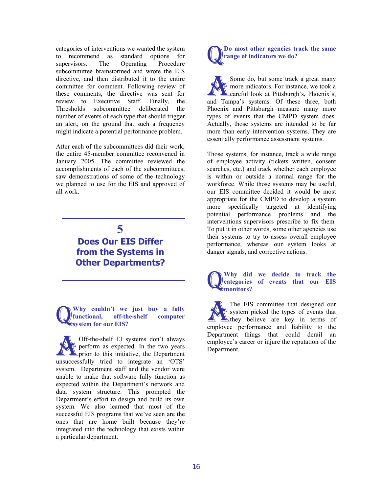categories of interventions we wanted the system to recommend as standard options for supervisors. The Operating Procedure subcommittee brainstormed and wrote the EIS directive, and then distributed it to the entire committee for comment. Following review of these comments, the directive was sent for review to Executive Staff. Finally, the Thresholds subcommittee deliberated the number of events of each type that should trigger an alert, on the ground that such a frequency might indicate a potential performance problem.

After each of the subcommittees did their work, the entire 45-member committee reconvened in January 2005. The committee reviewed the accomplishments of each of the subcommittees, saw demonstrations of some of the technology we planned to use for the EIS and approved of all work.

## **5 Does Our EIS Differ from the Systems in Other Departments?**

**Why couldn't we just buy a fully functional, off-the-shelf computer system for our EIS?**  Q

Off-the-shelf EI systems don't always perform as expected. In the two years Off-the-shelf EI systems don't always<br>perform as expected. In the two years<br>prior to this initiative, the Department<br>unsuccessfully tried to integrate an 'OTS' unsuccessfully tried to integrate an 'OTS' system. Department staff and the vendor were unable to make that software fully function as expected within the Department's network and data system structure. This prompted the Department's effort to design and build its own system. We also learned that most of the successful EIS programs that we've seen are the ones that are home built because they're integrated into the technology that exists within a particular department.



Some do, but some track a great many more indicators. For instance, we took a careful look at Pittsburgh's, Phoenix's, Some do, but some track a great many<br>
more indicators. For instance, we took a<br>
careful look at Pittsburgh's, Phoenix's,<br>
and Tampa's systems. Of these three, both Phoenix and Pittsburgh measure many more types of events that the CMPD system does. Actually, those systems are intended to be far more than early intervention systems. They are essentially performance assessment systems.

Those systems, for instance, track a wide range of employee activity (tickets written, consent searches, etc.) and track whether each employee is within or outside a normal range for the workforce. While those systems may be useful, our EIS committee decided it would be most appropriate for the CMPD to develop a system more specifically targeted at identifying potential performance problems and the interventions supervisors prescribe to fix them. To put it in other words, some other agencies use their systems to try to assess overall employee performance, whereas our system looks at danger signals, and corrective actions.

### **Why did we decide to track the categories of events that our EIS**  Why did<br>categories<br>monitors?

The EIS committee that designed our system picked the types of events that they believe are key in terms of The EIS committee that designed our<br>system picked the types of events that<br>they believe are key in terms of<br>employee performance and liability to the Department—things that could derail an employee's career or injure the reputation of the Department.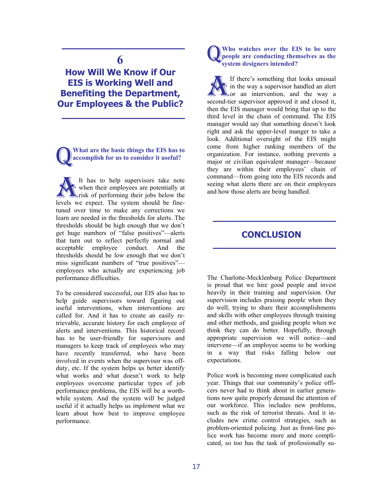## **6**

**How Will We Know if Our EIS is Working Well and Benefiting the Department, Our Employees & the Public?** 

**What are the basic things the EIS has to accomplish for us to consider it useful?**  Q

It has to help supervisors take note when their employees are potentially at risk of performing their jobs below the It has to help supervisors take note<br>when their employees are potentially at<br>risk of performing their jobs below the<br>levels we expect. The system should be finetuned over time to make any corrections we learn are needed in the thresholds for alerts. The thresholds should be high enough that we don't get huge numbers of "false positives"—alerts that turn out to reflect perfectly normal and acceptable employee conduct. And the thresholds should be low enough that we don't miss significant numbers of "true positives" employees who actually are experiencing job performance difficulties.

To be considered successful, our EIS also has to help guide supervisors toward figuring out useful interventions, when interventions are called for. And it has to create an easily retrievable, accurate history for each employee of alerts and interventions. This historical record has to be user-friendly for supervisors and managers to keep track of employees who may have recently transferred, who have been involved in events when the supervisor was offduty, etc. If the system helps us better identify what works and what doesn't work to help employees overcome particular types of job performance problems, the EIS will be a worthwhile system. And the system will be judged useful if it actually helps us *implement* what we learn about how best to improve employee performance.

#### **Who watches over the EIS to be sure people are conducting themselves as the system designers intended?**  Q

If there's something that looks unusual in the way a supervisor handled an alert or an intervention, and the way a If there's something that looks unusual<br>in the way a supervisor handled an alert<br>or an intervention, and the way a<br>second-tier supervisor approved it and closed it, then the EIS manager would bring that up to the third level in the chain of command. The EIS manager would say that something doesn't look right and ask the upper-level manger to take a look. Additional oversight of the EIS might come from higher ranking members of the organization. For instance, nothing prevents a major or civilian equivalent manager—because they are within their employees' chain of command—from going into the EIS records and seeing what alerts there are on their employees and how those alerts are being handled.

## **CONCLUSION**

The Charlotte-Mecklenburg Police Department is proud that we hire good people and invest heavily in their training and supervision. Our supervision includes praising people when they do well, trying to share their accomplishments and skills with other employees through training and other methods, and guiding people when we think they can do better. Hopefully, through appropriate supervision we will notice—and intervene—if an employee seems to be working in a way that risks falling below our expectations.

Police work is becoming more complicated each year. Things that our community's police officers never had to think about in earlier generations now quite properly demand the attention of our workforce. This includes new problems, such as the risk of terrorist threats. And it includes new crime control strategies, such as problem-oriented policing. Just as front-line police work has become more and more complicated, so too has the task of professionally su-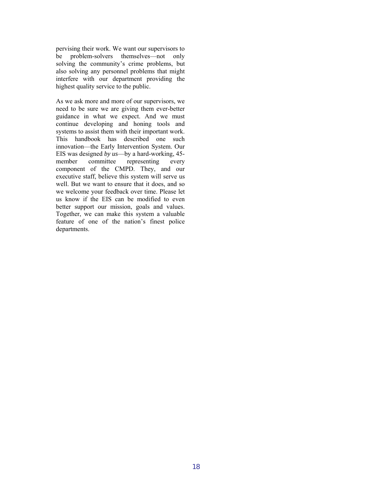pervising their work. We want our supervisors to be problem-solvers themselves—not only solving the community's crime problems, but also solving any personnel problems that might interfere with our department providing the highest quality service to the public.

As we ask more and more of our supervisors, we need to be sure we are giving them ever-better guidance in what we expect. And we must continue developing and honing tools and systems to assist them with their important work. This handbook has described one such innovation—the Early Intervention System. Our EIS was designed *by us*—by a hard-working, 45 member committee representing every component of the CMPD. They, and our executive staff, believe this system will serve us well. But we want to ensure that it does, and so we welcome your feedback over time. Please let us know if the EIS can be modified to even better support our mission, goals and values. Together, we can make this system a valuable feature of one of the nation's finest police departments.